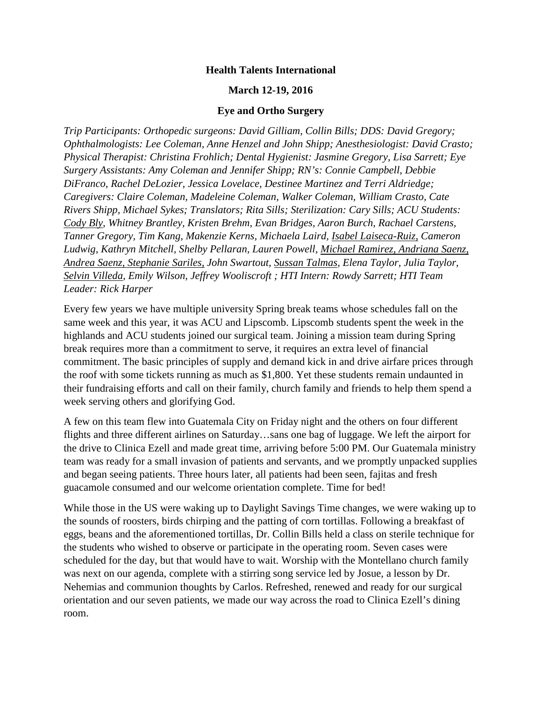## **Health Talents International**

## **March 12-19, 2016**

## **Eye and Ortho Surgery**

*Trip Participants: Orthopedic surgeons: David Gilliam, Collin Bills; DDS: David Gregory; Ophthalmologists: Lee Coleman, Anne Henzel and John Shipp; Anesthesiologist: David Crasto; Physical Therapist: Christina Frohlich; Dental Hygienist: Jasmine Gregory, Lisa Sarrett; Eye Surgery Assistants: Amy Coleman and Jennifer Shipp; RN's: Connie Campbell, Debbie DiFranco, Rachel DeLozier, Jessica Lovelace, Destinee Martinez and Terri Aldriedge; Caregivers: Claire Coleman, Madeleine Coleman, Walker Coleman, William Crasto, Cate Rivers Shipp, Michael Sykes; Translators; Rita Sills; Sterilization: Cary Sills; ACU Students: Cody Bly, Whitney Brantley, Kristen Brehm, Evan Bridges, Aaron Burch, Rachael Carstens, Tanner Gregory, Tim Kang, Makenzie Kerns, Michaela Laird, Isabel Laiseca-Ruiz, Cameron Ludwig, Kathryn Mitchell, Shelby Pellaran, Lauren Powell, Michael Ramirez, Andriana Saenz, Andrea Saenz, Stephanie Sariles, John Swartout, Sussan Talmas, Elena Taylor, Julia Taylor, Selvin Villeda, Emily Wilson, Jeffrey Wooliscroft ; HTI Intern: Rowdy Sarrett; HTI Team Leader: Rick Harper*

Every few years we have multiple university Spring break teams whose schedules fall on the same week and this year, it was ACU and Lipscomb. Lipscomb students spent the week in the highlands and ACU students joined our surgical team. Joining a mission team during Spring break requires more than a commitment to serve, it requires an extra level of financial commitment. The basic principles of supply and demand kick in and drive airfare prices through the roof with some tickets running as much as \$1,800. Yet these students remain undaunted in their fundraising efforts and call on their family, church family and friends to help them spend a week serving others and glorifying God.

A few on this team flew into Guatemala City on Friday night and the others on four different flights and three different airlines on Saturday…sans one bag of luggage. We left the airport for the drive to Clinica Ezell and made great time, arriving before 5:00 PM. Our Guatemala ministry team was ready for a small invasion of patients and servants, and we promptly unpacked supplies and began seeing patients. Three hours later, all patients had been seen, fajitas and fresh guacamole consumed and our welcome orientation complete. Time for bed!

While those in the US were waking up to Daylight Savings Time changes, we were waking up to the sounds of roosters, birds chirping and the patting of corn tortillas. Following a breakfast of eggs, beans and the aforementioned tortillas, Dr. Collin Bills held a class on sterile technique for the students who wished to observe or participate in the operating room. Seven cases were scheduled for the day, but that would have to wait. Worship with the Montellano church family was next on our agenda, complete with a stirring song service led by Josue, a lesson by Dr. Nehemias and communion thoughts by Carlos. Refreshed, renewed and ready for our surgical orientation and our seven patients, we made our way across the road to Clinica Ezell's dining room.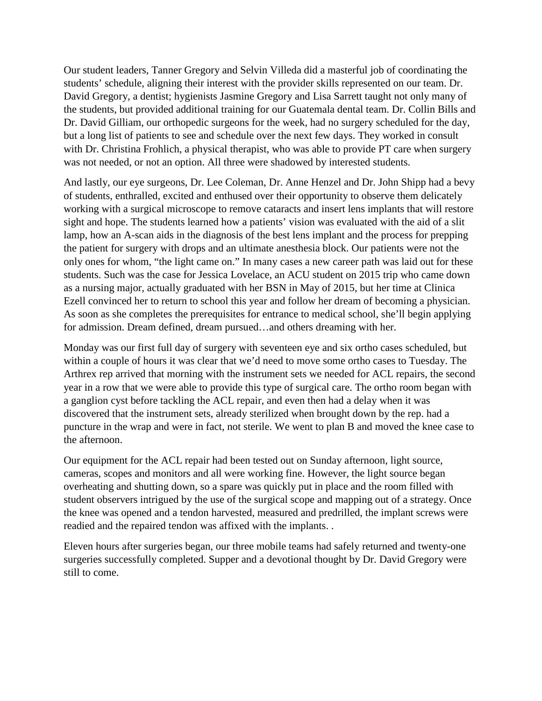Our student leaders, Tanner Gregory and Selvin Villeda did a masterful job of coordinating the students' schedule, aligning their interest with the provider skills represented on our team. Dr. David Gregory, a dentist; hygienists Jasmine Gregory and Lisa Sarrett taught not only many of the students, but provided additional training for our Guatemala dental team. Dr. Collin Bills and Dr. David Gilliam, our orthopedic surgeons for the week, had no surgery scheduled for the day, but a long list of patients to see and schedule over the next few days. They worked in consult with Dr. Christina Frohlich, a physical therapist, who was able to provide PT care when surgery was not needed, or not an option. All three were shadowed by interested students.

And lastly, our eye surgeons, Dr. Lee Coleman, Dr. Anne Henzel and Dr. John Shipp had a bevy of students, enthralled, excited and enthused over their opportunity to observe them delicately working with a surgical microscope to remove cataracts and insert lens implants that will restore sight and hope. The students learned how a patients' vision was evaluated with the aid of a slit lamp, how an A-scan aids in the diagnosis of the best lens implant and the process for prepping the patient for surgery with drops and an ultimate anesthesia block. Our patients were not the only ones for whom, "the light came on." In many cases a new career path was laid out for these students. Such was the case for Jessica Lovelace, an ACU student on 2015 trip who came down as a nursing major, actually graduated with her BSN in May of 2015, but her time at Clinica Ezell convinced her to return to school this year and follow her dream of becoming a physician. As soon as she completes the prerequisites for entrance to medical school, she'll begin applying for admission. Dream defined, dream pursued…and others dreaming with her.

Monday was our first full day of surgery with seventeen eye and six ortho cases scheduled, but within a couple of hours it was clear that we'd need to move some ortho cases to Tuesday. The Arthrex rep arrived that morning with the instrument sets we needed for ACL repairs, the second year in a row that we were able to provide this type of surgical care. The ortho room began with a ganglion cyst before tackling the ACL repair, and even then had a delay when it was discovered that the instrument sets, already sterilized when brought down by the rep. had a puncture in the wrap and were in fact, not sterile. We went to plan B and moved the knee case to the afternoon.

Our equipment for the ACL repair had been tested out on Sunday afternoon, light source, cameras, scopes and monitors and all were working fine. However, the light source began overheating and shutting down, so a spare was quickly put in place and the room filled with student observers intrigued by the use of the surgical scope and mapping out of a strategy. Once the knee was opened and a tendon harvested, measured and predrilled, the implant screws were readied and the repaired tendon was affixed with the implants. .

Eleven hours after surgeries began, our three mobile teams had safely returned and twenty-one surgeries successfully completed. Supper and a devotional thought by Dr. David Gregory were still to come.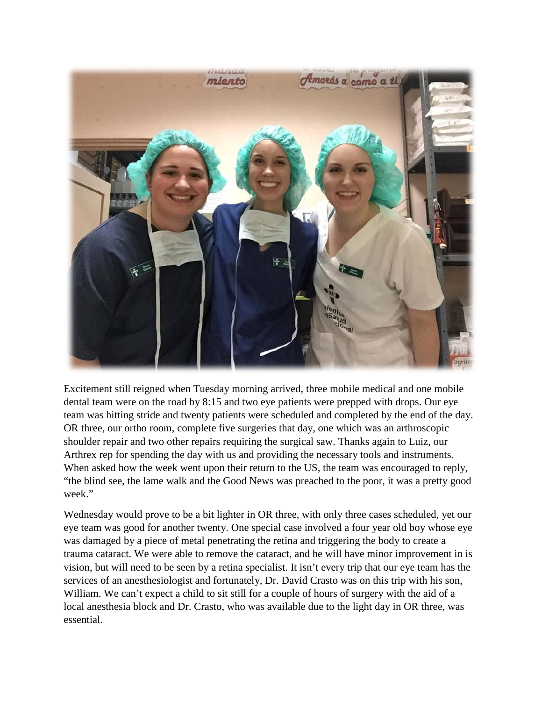

Excitement still reigned when Tuesday morning arrived, three mobile medical and one mobile dental team were on the road by 8:15 and two eye patients were prepped with drops. Our eye team was hitting stride and twenty patients were scheduled and completed by the end of the day. OR three, our ortho room, complete five surgeries that day, one which was an arthroscopic shoulder repair and two other repairs requiring the surgical saw. Thanks again to Luiz, our Arthrex rep for spending the day with us and providing the necessary tools and instruments. When asked how the week went upon their return to the US, the team was encouraged to reply, "the blind see, the lame walk and the Good News was preached to the poor, it was a pretty good week."

Wednesday would prove to be a bit lighter in OR three, with only three cases scheduled, yet our eye team was good for another twenty. One special case involved a four year old boy whose eye was damaged by a piece of metal penetrating the retina and triggering the body to create a trauma cataract. We were able to remove the cataract, and he will have minor improvement in is vision, but will need to be seen by a retina specialist. It isn't every trip that our eye team has the services of an anesthesiologist and fortunately, Dr. David Crasto was on this trip with his son, William. We can't expect a child to sit still for a couple of hours of surgery with the aid of a local anesthesia block and Dr. Crasto, who was available due to the light day in OR three, was essential.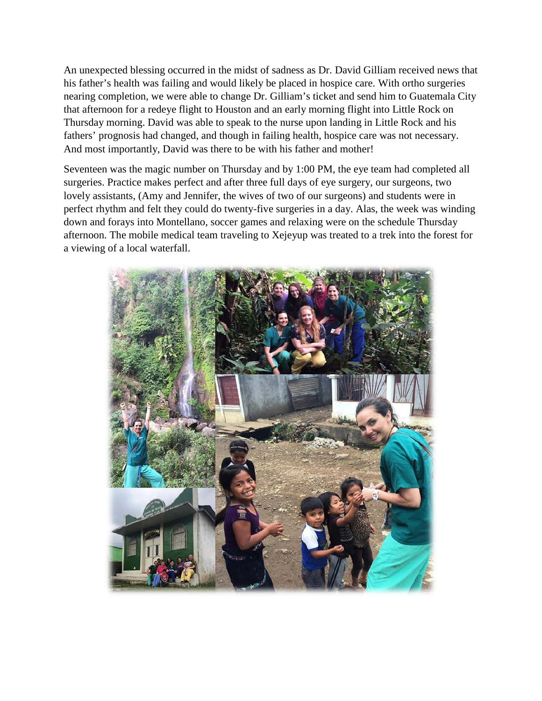An unexpected blessing occurred in the midst of sadness as Dr. David Gilliam received news that his father's health was failing and would likely be placed in hospice care. With ortho surgeries nearing completion, we were able to change Dr. Gilliam's ticket and send him to Guatemala City that afternoon for a redeye flight to Houston and an early morning flight into Little Rock on Thursday morning. David was able to speak to the nurse upon landing in Little Rock and his fathers' prognosis had changed, and though in failing health, hospice care was not necessary. And most importantly, David was there to be with his father and mother!

Seventeen was the magic number on Thursday and by 1:00 PM, the eye team had completed all surgeries. Practice makes perfect and after three full days of eye surgery, our surgeons, two lovely assistants, (Amy and Jennifer, the wives of two of our surgeons) and students were in perfect rhythm and felt they could do twenty-five surgeries in a day. Alas, the week was winding down and forays into Montellano, soccer games and relaxing were on the schedule Thursday afternoon. The mobile medical team traveling to Xejeyup was treated to a trek into the forest for a viewing of a local waterfall.